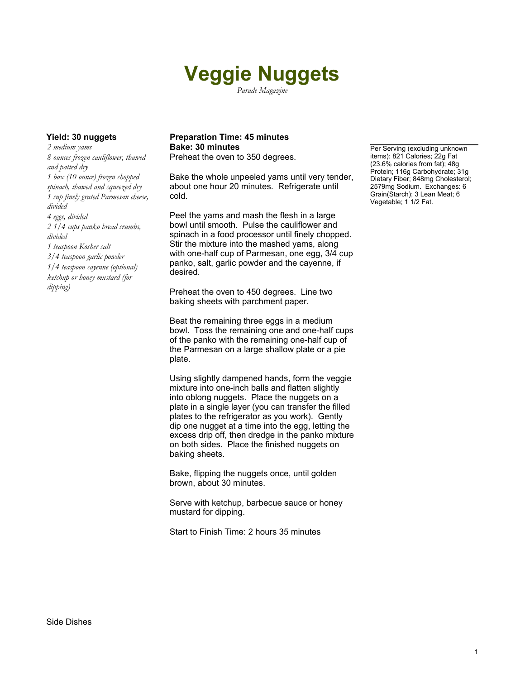# **Veggie Nuggets**

*Parade Magazine*

*2 medium yams 8 ounces frozen cauliflower, thawed and patted dry 1 box (10 ounce) frozen chopped spinach, thawed and squeezed dry 1 cup finely grated Parmesan cheese, divided 4 eggs, divided 2 1/4 cups panko bread crumbs, divided 1 teaspoon Kosher salt 3/4 teaspoon garlic powder 1/4 teaspoon cayenne (optional) ketchup or honey mustard (for dipping)*

### **Yield: 30 nuggets Preparation Time: 45 minutes Bake: 30 minutes Per Serving (excluding unknown**

Preheat the oven to 350 degrees.

Bake the whole unpeeled yams until very tender, about one hour 20 minutes. Refrigerate until cold.

Peel the yams and mash the flesh in a large bowl until smooth. Pulse the cauliflower and spinach in a food processor until finely chopped. Stir the mixture into the mashed yams, along with one-half cup of Parmesan, one egg, 3/4 cup panko, salt, garlic powder and the cayenne, if desired.

Preheat the oven to 450 degrees. Line two baking sheets with parchment paper.

Beat the remaining three eggs in a medium bowl. Toss the remaining one and one-half cups of the panko with the remaining one-half cup of the Parmesan on a large shallow plate or a pie plate.

Using slightly dampened hands, form the veggie mixture into one-inch balls and flatten slightly into oblong nuggets. Place the nuggets on a plate in a single layer (you can transfer the filled plates to the refrigerator as you work). Gently dip one nugget at a time into the egg, letting the excess drip off, then dredge in the panko mixture on both sides. Place the finished nuggets on baking sheets.

Bake, flipping the nuggets once, until golden brown, about 30 minutes.

Serve with ketchup, barbecue sauce or honey mustard for dipping.

Start to Finish Time: 2 hours 35 minutes

items): 821 Calories; 22g Fat (23.6% calories from fat); 48g Protein; 116g Carbohydrate; 31g Dietary Fiber; 848mg Cholesterol; 2579mg Sodium. Exchanges: 6 Grain(Starch); 3 Lean Meat; 6 Vegetable; 1 1/2 Fat.